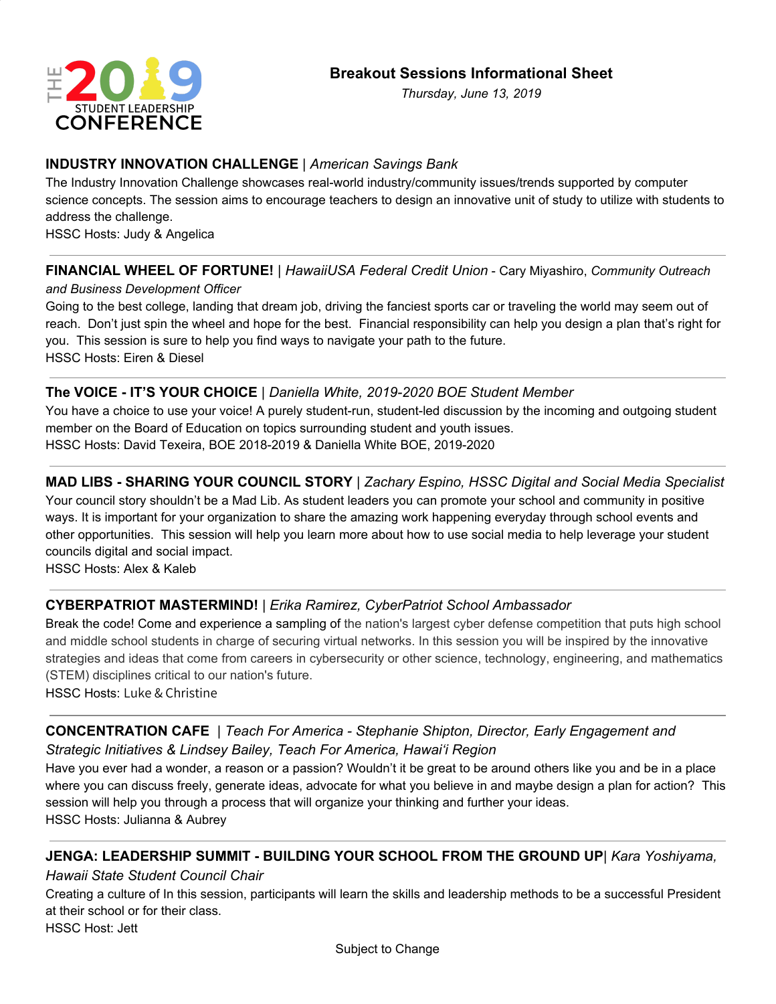

*Thursday, June 13, 2019*

#### **INDUSTRY INNOVATION CHALLENGE** | *American Savings Bank*

The Industry Innovation Challenge showcases real-world industry/community issues/trends supported by computer science concepts. The session aims to encourage teachers to design an innovative unit of study to utilize with students to address the challenge.

HSSC Hosts: Judy & Angelica

# **FINANCIAL WHEEL OF FORTUNE!** | *HawaiiUSA Federal Credit Union* - Cary Miyashiro, *Community Outreach*

*and Business Development Officer*

Going to the best college, landing that dream job, driving the fanciest sports car or traveling the world may seem out of reach. Don't just spin the wheel and hope for the best. Financial responsibility can help you design a plan that's right for you. This session is sure to help you find ways to navigate your path to the future. HSSC Hosts: Eiren & Diesel

#### **The VOICE - IT'S YOUR CHOICE** | *Daniella White, 2019-2020 BOE Student Member*

You have a choice to use your voice! A purely student-run, student-led discussion by the incoming and outgoing student member on the Board of Education on topics surrounding student and youth issues. HSSC Hosts: David Texeira, BOE 2018-2019 & Daniella White BOE, 2019-2020

**MAD LIBS - SHARING YOUR COUNCIL STORY** | *Zachary Espino, HSSC Digital and Social Media Specialist* Your council story shouldn't be a Mad Lib. As student leaders you can promote your school and community in positive ways. It is important for your organization to share the amazing work happening everyday through school events and other opportunities. This session will help you learn more about how to use social media to help leverage your student councils digital and social impact.

HSSC Hosts: Alex & Kaleb

# **CYBERPATRIOT MASTERMIND!** | *Erika Ramirez, CyberPatriot School Ambassador*

Break the code! Come and experience a sampling of the nation's largest cyber defense competition that puts high school and middle school students in charge of securing virtual networks. In this session you will be inspired by the innovative strategies and ideas that come from careers in cybersecurity or other science, technology, engineering, and mathematics (STEM) disciplines critical to our nation's future.

HSSC Hosts: Luke & Christine

# **CONCENTRATION CAFE** | *Teach For America - Stephanie Shipton, Director, Early Engagement and Strategic Initiatives & Lindsey Bailey, Teach For America, Hawai'i Region*

Have you ever had a wonder, a reason or a passion? Wouldn't it be great to be around others like you and be in a place where you can discuss freely, generate ideas, advocate for what you believe in and maybe design a plan for action? This session will help you through a process that will organize your thinking and further your ideas. HSSC Hosts: Julianna & Aubrey

# **JENGA: LEADERSHIP SUMMIT - BUILDING YOUR SCHOOL FROM THE GROUND UP**| *Kara Yoshiyama,*

*Hawaii State Student Council Chair*

Creating a culture of In this session, participants will learn the skills and leadership methods to be a successful President at their school or for their class.

HSSC Host: Jett